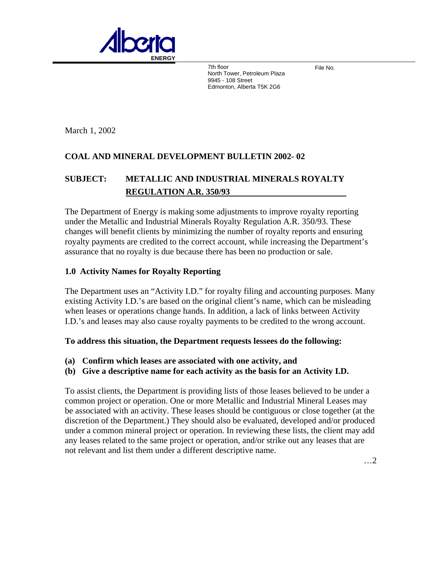

7th floor **Contains the Container Container Container Container Container Container Container Container Contain** North Tower, Petroleum Plaza 9945 - 108 Street Edmonton, Alberta T5K 2G6

March 1, 2002

# **COAL AND MINERAL DEVELOPMENT BULLETIN 2002- 02**

# **SUBJECT: METALLIC AND INDUSTRIAL MINERALS ROYALTY REGULATION A.R. 350/93**

The Department of Energy is making some adjustments to improve royalty reporting under the Metallic and Industrial Minerals Royalty Regulation A.R. 350/93. These changes will benefit clients by minimizing the number of royalty reports and ensuring royalty payments are credited to the correct account, while increasing the Department's assurance that no royalty is due because there has been no production or sale.

# **1.0 Activity Names for Royalty Reporting**

The Department uses an "Activity I.D." for royalty filing and accounting purposes. Many existing Activity I.D.'s are based on the original client's name, which can be misleading when leases or operations change hands. In addition, a lack of links between Activity I.D.'s and leases may also cause royalty payments to be credited to the wrong account.

#### **To address this situation, the Department requests lessees do the following:**

- **(a) Confirm which leases are associated with one activity, and**
- **(b) Give a descriptive name for each activity as the basis for an Activity I.D.**

To assist clients, the Department is providing lists of those leases believed to be under a common project or operation. One or more Metallic and Industrial Mineral Leases may be associated with an activity. These leases should be contiguous or close together (at the discretion of the Department.) They should also be evaluated, developed and/or produced under a common mineral project or operation. In reviewing these lists, the client may add any leases related to the same project or operation, and/or strike out any leases that are not relevant and list them under a different descriptive name.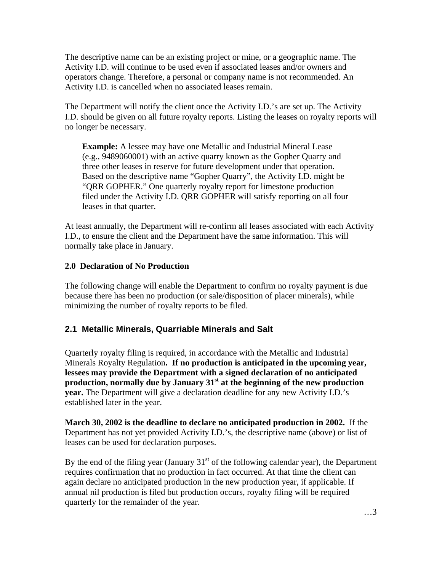The descriptive name can be an existing project or mine, or a geographic name. The Activity I.D. will continue to be used even if associated leases and/or owners and operators change. Therefore, a personal or company name is not recommended. An Activity I.D. is cancelled when no associated leases remain.

The Department will notify the client once the Activity I.D.'s are set up. The Activity I.D. should be given on all future royalty reports. Listing the leases on royalty reports will no longer be necessary.

**Example:** A lessee may have one Metallic and Industrial Mineral Lease (e.g., 9489060001) with an active quarry known as the Gopher Quarry and three other leases in reserve for future development under that operation. Based on the descriptive name "Gopher Quarry", the Activity I.D. might be "QRR GOPHER." One quarterly royalty report for limestone production filed under the Activity I.D. QRR GOPHER will satisfy reporting on all four leases in that quarter.

At least annually, the Department will re-confirm all leases associated with each Activity I.D., to ensure the client and the Department have the same information. This will normally take place in January.

# **0 Declaration of No Production 2.**

The following change will enable the Department to confirm no royalty payment is due because there has been no production (or sale/disposition of placer minerals), while minimizing the number of royalty reports to be filed.

# 2.1 Metallic Minerals, Quarriable Minerals and Salt

Quarterly royalty filing is required, in accordance with the Metallic and Industrial Minerals Royalty Regulation**. If no production is anticipated in the upcoming year, lessees may provide the Department with a signed declaration of no anticipated production, normally due by January 31st at the beginning of the new production year.** The Department will give a declaration deadline for any new Activity I.D.'s established later in the year.

**March 30, 2002 is the deadline to declare no anticipated production in 2002.** If the Department has not yet provided Activity I.D.'s, the descriptive name (above) or list of leases can be used for declaration purposes.

By the end of the filing year (January  $31<sup>st</sup>$  of the following calendar year), the Department requires confirmation that no production in fact occurred. At that time the client can again declare no anticipated production in the new production year, if applicable. If annual nil production is filed but production occurs, royalty filing will be required quarterly for the remainder of the year.